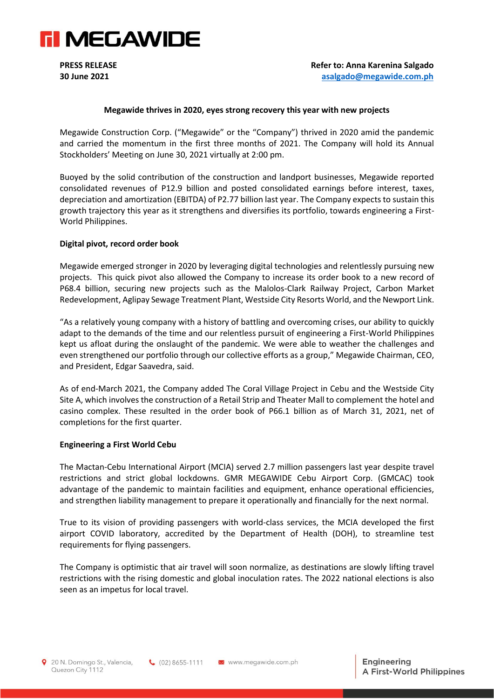

## **Megawide thrives in 2020, eyes strong recovery this year with new projects**

Megawide Construction Corp. ("Megawide" or the "Company") thrived in 2020 amid the pandemic and carried the momentum in the first three months of 2021. The Company will hold its Annual Stockholders' Meeting on June 30, 2021 virtually at 2:00 pm.

Buoyed by the solid contribution of the construction and landport businesses, Megawide reported consolidated revenues of P12.9 billion and posted consolidated earnings before interest, taxes, depreciation and amortization (EBITDA) of P2.77 billion last year. The Company expects to sustain this growth trajectory this year as it strengthens and diversifies its portfolio, towards engineering a First-World Philippines.

# **Digital pivot, record order book**

Megawide emerged stronger in 2020 by leveraging digital technologies and relentlessly pursuing new projects. This quick pivot also allowed the Company to increase its order book to a new record of P68.4 billion, securing new projects such as the Malolos-Clark Railway Project, Carbon Market Redevelopment, Aglipay Sewage Treatment Plant, Westside City Resorts World, and the Newport Link.

"As a relatively young company with a history of battling and overcoming crises, our ability to quickly adapt to the demands of the time and our relentless pursuit of engineering a First-World Philippines kept us afloat during the onslaught of the pandemic. We were able to weather the challenges and even strengthened our portfolio through our collective efforts as a group," Megawide Chairman, CEO, and President, Edgar Saavedra, said.

As of end-March 2021, the Company added The Coral Village Project in Cebu and the Westside City Site A, which involves the construction of a Retail Strip and Theater Mall to complement the hotel and casino complex. These resulted in the order book of P66.1 billion as of March 31, 2021, net of completions for the first quarter.

### **Engineering a First World Cebu**

The Mactan-Cebu International Airport (MCIA) served 2.7 million passengers last year despite travel restrictions and strict global lockdowns. GMR MEGAWIDE Cebu Airport Corp. (GMCAC) took advantage of the pandemic to maintain facilities and equipment, enhance operational efficiencies, and strengthen liability management to prepare it operationally and financially for the next normal.

True to its vision of providing passengers with world-class services, the MCIA developed the first airport COVID laboratory, accredited by the Department of Health (DOH), to streamline test requirements for flying passengers.

The Company is optimistic that air travel will soon normalize, as destinations are slowly lifting travel restrictions with the rising domestic and global inoculation rates. The 2022 national elections is also seen as an impetus for local travel.